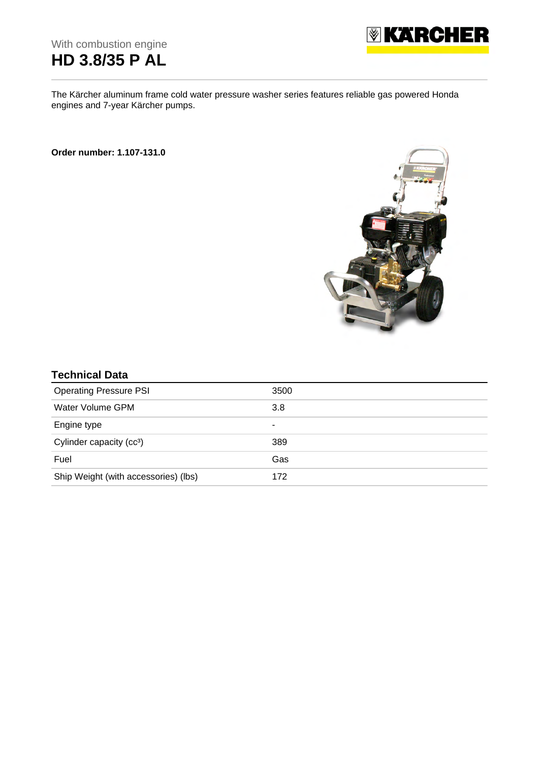# With combustion engine **HD 3.8/35 P AL**



The Kärcher aluminum frame cold water pressure washer series features reliable gas powered Honda engines and 7-year Kärcher pumps.

#### **Order number: 1.107-131.0**



### **Technical Data**

| <b>Operating Pressure PSI</b>        | 3500 |
|--------------------------------------|------|
| Water Volume GPM                     | 3.8  |
| Engine type                          | ۰    |
| Cylinder capacity (cc <sup>3</sup> ) | 389  |
| Fuel                                 | Gas  |
| Ship Weight (with accessories) (lbs) | 172  |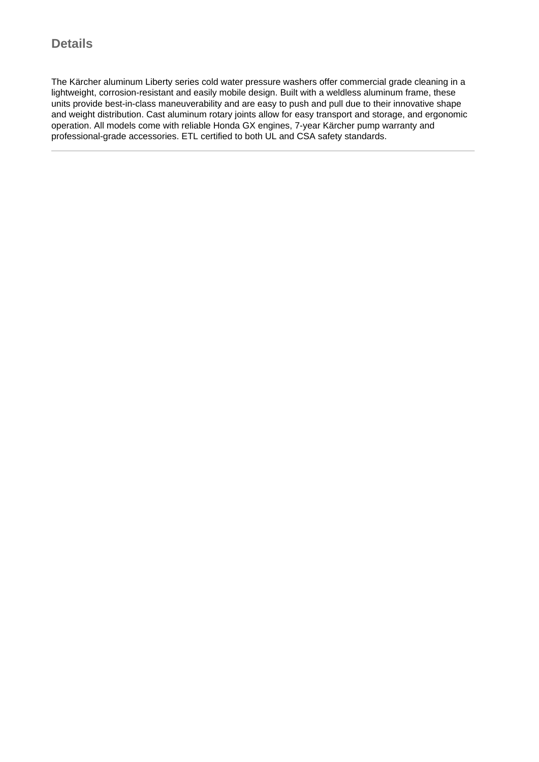# **Details**

The Kärcher aluminum Liberty series cold water pressure washers offer commercial grade cleaning in a lightweight, corrosion-resistant and easily mobile design. Built with a weldless aluminum frame, these units provide best-in-class maneuverability and are easy to push and pull due to their innovative shape and weight distribution. Cast aluminum rotary joints allow for easy transport and storage, and ergonomic operation. All models come with reliable Honda GX engines, 7-year Kärcher pump warranty and professional-grade accessories. ETL certified to both UL and CSA safety standards.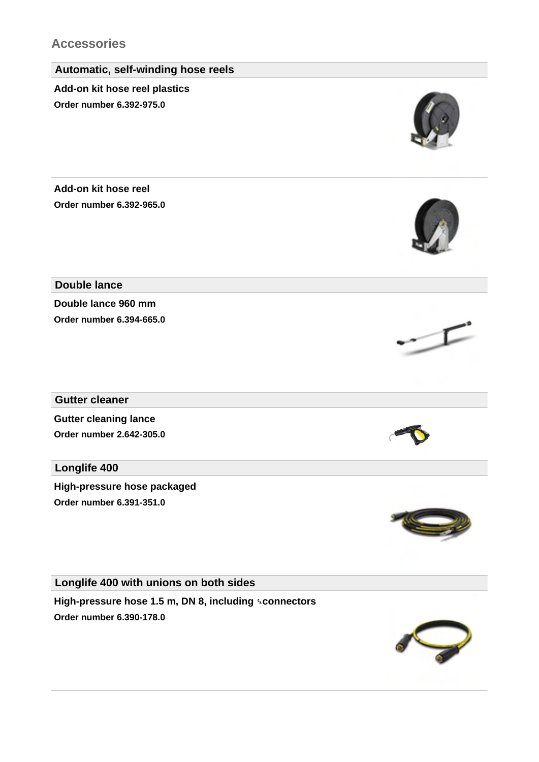# **Accessories**

# **Automatic, self-winding hose reels**

# **Add-on kit hose reel plastics**

**Order number 6.392-975.0**

**Add-on kit hose reel Order number 6.392-965.0**

**Double lance**

**Double lance 960 mm Order number 6.394-665.0**

### **Gutter cleaner**

**Gutter cleaning lance Order number 2.642-305.0**

# **Longlife 400**

**High-pressure hose packaged Order number 6.391-351.0**

# **Longlife 400 with unions on both sides**

**High-pressure hose 1.5 m, DN 8, including** ␍**connectors Order number 6.390-178.0**













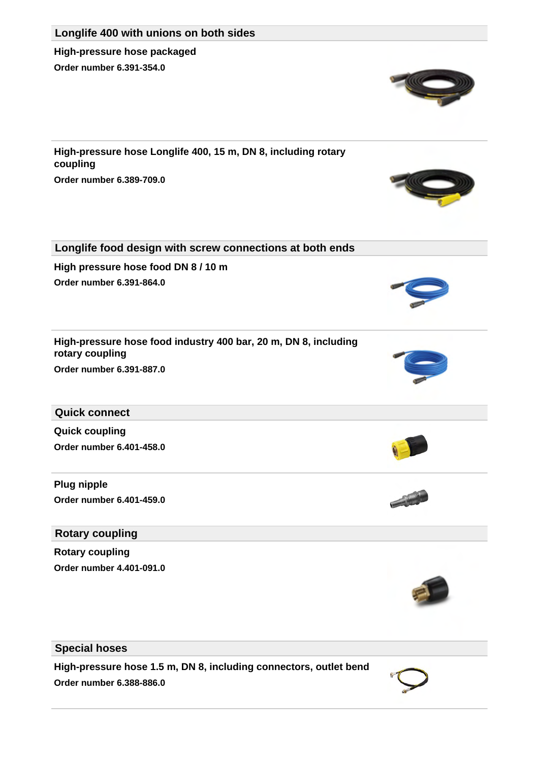

**Order number 6.401-459.0**

**Rotary coupling**

**Rotary coupling Order number 4.401-091.0**

### **Special hoses**

**High-pressure hose 1.5 m, DN 8, including connectors, outlet bend Order number 6.388-886.0**